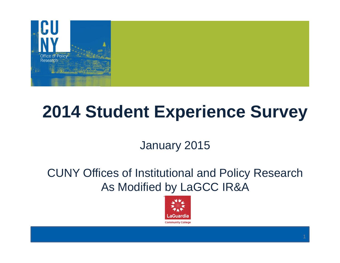

# **2014 Student Experience Survey**

January 2015

CUNY Offices of Institutional and Policy Research As Modified by LaGCC IR&A

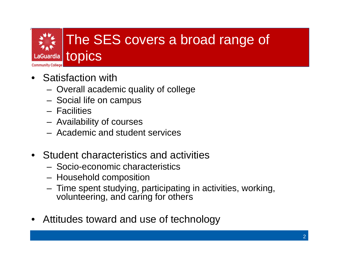

- Satisfaction with
	- Overall academic quality of college
	- Social life on campus
	- Facilities
	- Availability of courses
	- Academic and student services
- Student characteristics and activities
	- Socio-economic characteristics
	- Household composition
	- Time spent studying, participating in activities, working, volunteering, and caring for others
- Attitudes toward and use of technology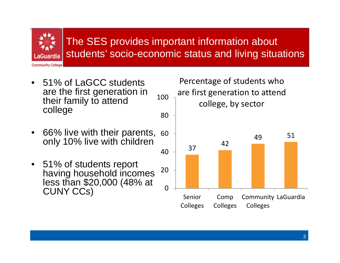Guardia **Community College** 

#### The SES provides important information about students' socio-economic status and living situations

- • 51% of LaGCC students are the first generation in their family to attend college
- • 66% live with their parents, 60 only 10% live with children
- 51% of students report having household incomes less than \$20,000 (48% at CUNY CCs)

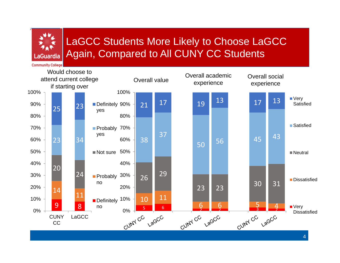

### LaGCC Students More Likely to Choose LaGCC Again, Compared to All CUNY CC Students

**Community College** 

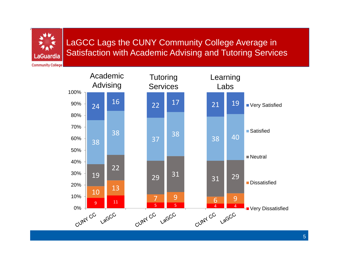LaGCC Lags the CUNY Community College Average in Satisfaction with Academic Advising and Tutoring Services

**Community College** 

\_aGuardia

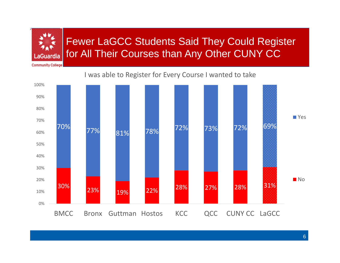#### Fewer LaGCC Students Said They Could Register for All Their Courses than Any Other CUNY CC LaGuardia

**Community College** 

#### was able to Register for Every Course I wanted to take

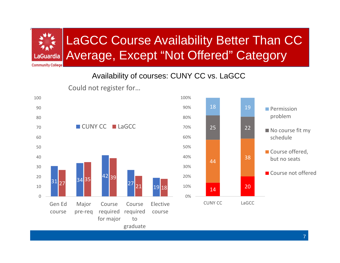

### LaGCC Course Availability Better Than CC Average, Except "Not Offered" Category

**Community College** 

#### Availability of courses: CUNY CC vs. LaGCC



Could not register for…

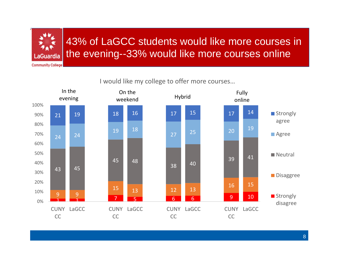

### 43% of LaGCC students would like more courses in the evening--33% would like more courses online

**Community College** 

#### would like my college to offer more courses…

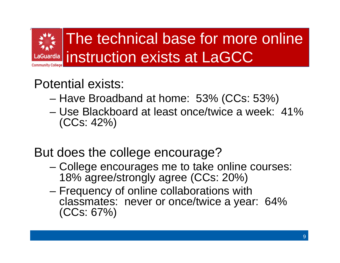

### Potential exists:

- Have Broadband at home: 53% (CCs: 53%)
- Use Blackboard at least once/twice a week: 41% (CCs: 42%)

### But does the college encourage?

- College encourages me to take online courses: 18% agree/strongly agree (CCs: 20%)
- Frequency of online collaborations with classmates: never or once/twice a year: 64% (CCs: 67%)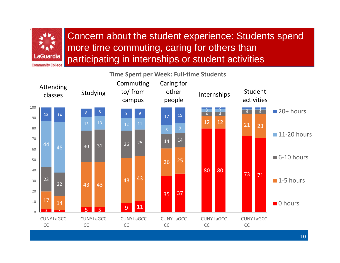

Concern about the student experience: Students spend more time commuting, caring for others than participating in internships or student activities

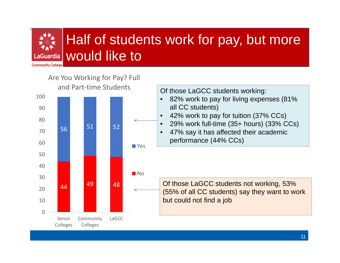#### Half of students work for pay, but more would like to.aGuardia **Community College**

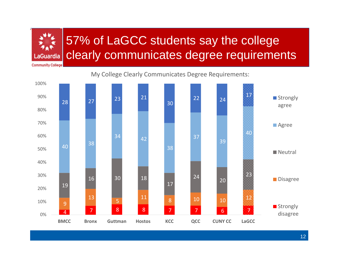

### 57% of LaGCC students say the college clearly communicates degree requirements

My College Clearly Communicates Degree Requirements:

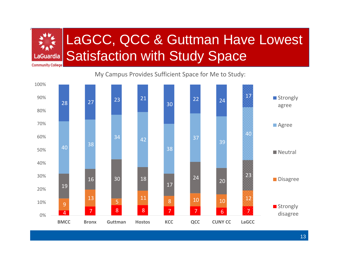

# LaGCC, QCC & Guttman Have Lowest Satisfaction with Study Space

My Campus Provides Sufficient Space for Me to Study:

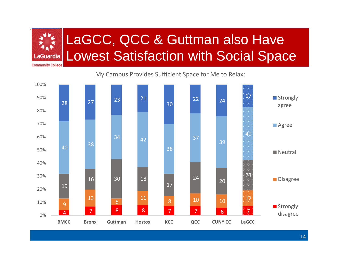

# LaGCC, QCC & Guttman also Have Lowest Satisfaction with Social Space

My Campus Provides Sufficient Space for Me to Relax:

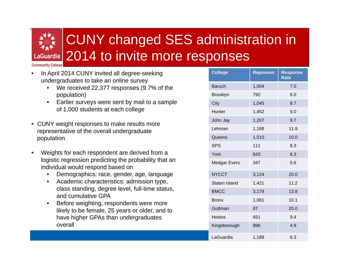# CUNY changed SES administration in 2014 to invite more responses

**Community College** 

- • In April 2014 CUNY invited all degree-seeking undergraduates to take an online survey
	- • We received 22,377 responses (9.7% of the population)
	- $\bullet$  Earlier surveys were sent by mail to a sample of 1,000 students at each college
- CUNY weight responses to make results more representative of the overall undergraduate population
- • Weights for each respondent are derived from a logistic regression predicting the probability that an individual would respond based on
	- $\bullet$ Demographics: race, gender, age, language
	- $\bullet$  Academic characteristics: admission type, class standing, degree level, full-time status, and cumulative GPA
	- $\bullet$  Before weighting, respondents were more likely to be female, 25 years or older, and to have higher GPAs than undergraduates overall

| <b>College</b>       | <b>Reponses</b> | <b>Response</b><br>Rate |
|----------------------|-----------------|-------------------------|
| <b>Baruch</b>        | 1,004           | 7.0                     |
| <b>Brooklyn</b>      | 792             | 6.0                     |
| City                 | 1,045           | 8.7                     |
| Hunter               | 1,452           | 9.0                     |
| John Jay             | 1,207           | 9.7                     |
| Lehman               | 1,168           | 11.9                    |
| Queens               | 1,510           | 10.0                    |
| <b>SPS</b>           | 111             | 8.3                     |
| York                 | 643             | 8.3                     |
| <b>Medgar Evers</b>  | 347             | 5.6                     |
| <b>NYCCT</b>         | 3,124           | 20.0                    |
| <b>Staten Island</b> | 1,421           | 11.2                    |
| <b>BMCC</b>          | 3,179           | 13.8                    |
| <b>Bronx</b>         | 1,081           | 10.1                    |
| Guttman              | 87              | 20.0                    |
| <b>Hostos</b>        | 651             | 9.4                     |
| Kingsborough         | 896             | 4.9                     |
| LaGuardia            | 1,189           | 6.3                     |